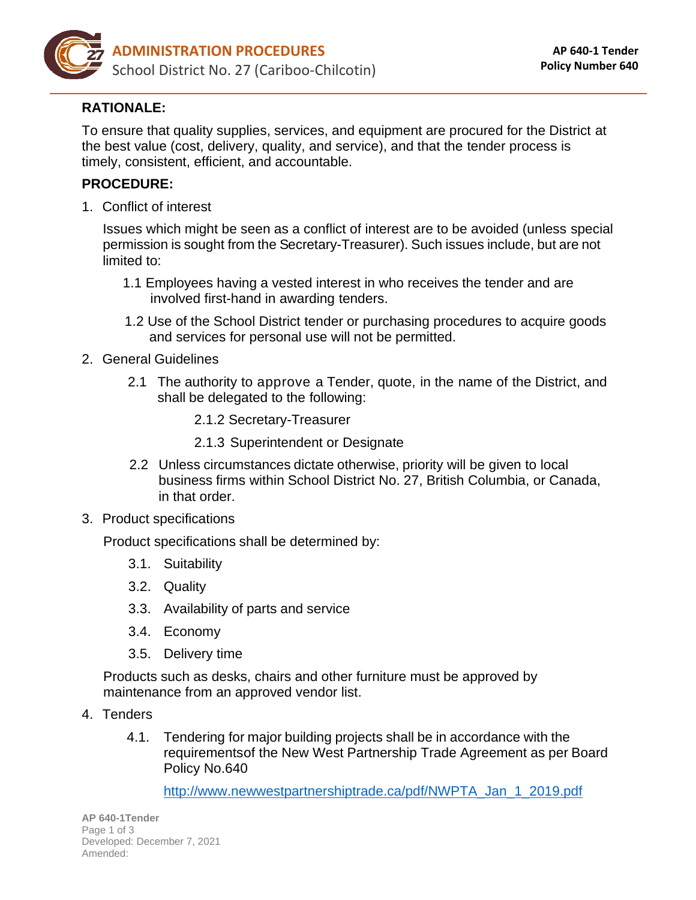

## **RATIONALE:**

To ensure that quality supplies, services, and equipment are procured for the District at the best value (cost, delivery, quality, and service), and that the tender process is timely, consistent, efficient, and accountable.

## **PROCEDURE:**

1. Conflict of interest

Issues which might be seen as a conflict of interest are to be avoided (unless special permission is sought from the Secretary-Treasurer). Such issues include, but are not limited to:

- 1.1 Employees having a vested interest in who receives the tender and are involved first-hand in awarding tenders.
- 1.2 Use of the School District tender or purchasing procedures to acquire goods and services for personal use will not be permitted.
- 2. General Guidelines
	- 2.1 The authority to approve a Tender, quote, in the name of the District, and shall be delegated to the following:
		- 2.1.2 Secretary-Treasurer
		- 2.1.3 Superintendent or Designate
	- 2.2 Unless circumstances dictate otherwise, priority will be given to local business firms within School District No. 27, British Columbia, or Canada, in that order.
- 3. Product specifications

Product specifications shall be determined by:

- 3.1. Suitability
- 3.2. Quality
- 3.3. Availability of parts and service
- 3.4. Economy
- 3.5. Delivery time

Products such as desks, chairs and other furniture must be approved by maintenance from an approved vendor list.

- 4. Tenders
	- 4.1. Tendering for major building projects shall be in accordance with the requirementsof the New West Partnership Trade Agreement as per Board Policy No.640

[http://www.newwestpartnershiptrade.ca/pdf/NWPTA\\_Jan\\_1\\_2019.pdf](http://www.newwestpartnershiptrade.ca/pdf/NWPTA_Jan_1_2019.pdf)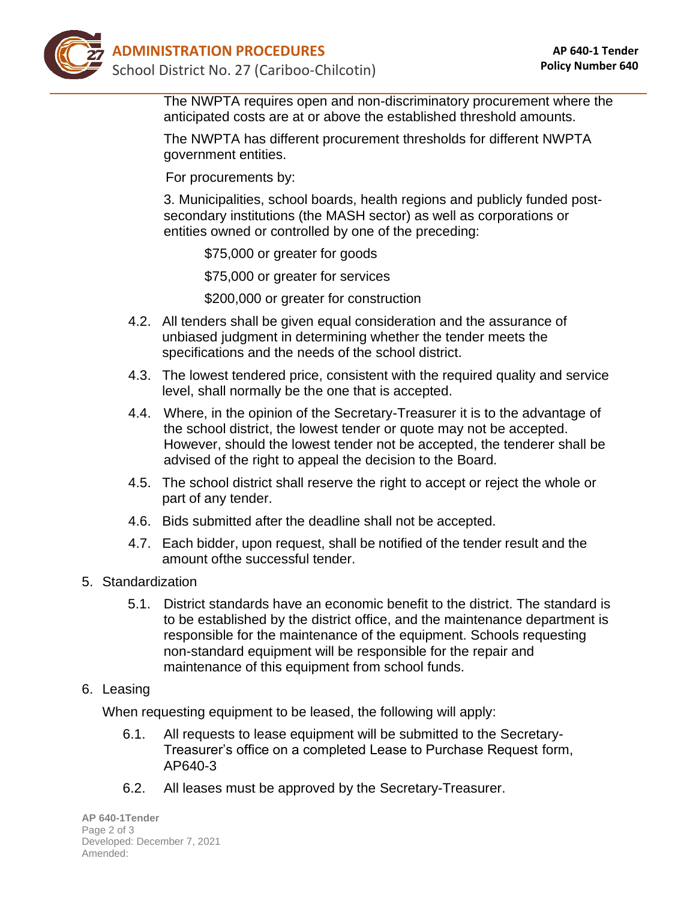

The NWPTA requires open and non-discriminatory procurement where the anticipated costs are at or above the established threshold amounts.

The NWPTA has different procurement thresholds for different NWPTA government entities.

For procurements by:

3. Municipalities, school boards, health regions and publicly funded postsecondary institutions (the MASH sector) as well as corporations or entities owned or controlled by one of the preceding:

\$75,000 or greater for goods

\$75,000 or greater for services

\$200,000 or greater for construction

- 4.2. All tenders shall be given equal consideration and the assurance of unbiased judgment in determining whether the tender meets the specifications and the needs of the school district.
- 4.3. The lowest tendered price, consistent with the required quality and service level, shall normally be the one that is accepted.
- 4.4. Where, in the opinion of the Secretary-Treasurer it is to the advantage of the school district, the lowest tender or quote may not be accepted. However, should the lowest tender not be accepted, the tenderer shall be advised of the right to appeal the decision to the Board.
- 4.5. The school district shall reserve the right to accept or reject the whole or part of any tender.
- 4.6. Bids submitted after the deadline shall not be accepted.
- 4.7. Each bidder, upon request, shall be notified of the tender result and the amount ofthe successful tender.
- 5. Standardization
	- 5.1. District standards have an economic benefit to the district. The standard is to be established by the district office, and the maintenance department is responsible for the maintenance of the equipment. Schools requesting non-standard equipment will be responsible for the repair and maintenance of this equipment from school funds.
- 6. Leasing

When requesting equipment to be leased, the following will apply:

- 6.1. All requests to lease equipment will be submitted to the Secretary-Treasurer's office on a completed Lease to Purchase Request form, AP640-3
- 6.2. All leases must be approved by the Secretary-Treasurer.